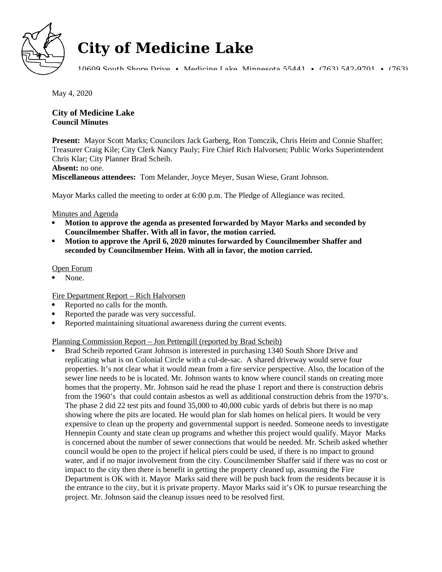

# **City of Medicine Lake**

10609 South Shore Drive • Medicine Lake, Minnesota 55441 • (763) 542-9701 • (763)

May 4, 2020

# **City of Medicine Lake Council Minutes**

**Present:** Mayor Scott Marks; Councilors Jack Garberg, Ron Tomczik, Chris Heim and Connie Shaffer; Treasurer Craig Kile; City Clerk Nancy Pauly; Fire Chief Rich Halvorsen; Public Works Superintendent Chris Klar; City Planner Brad Scheib.

#### **Absent:** no one.

**Miscellaneous attendees:** Tom Melander, Joyce Meyer, Susan Wiese, Grant Johnson.

Mayor Marks called the meeting to order at 6:00 p.m. The Pledge of Allegiance was recited.

## Minutes and Agenda

- **Motion to approve the agenda as presented forwarded by Mayor Marks and seconded by Councilmember Shaffer. With all in favor, the motion carried.**
- **Motion to approve the April 6, 2020 minutes forwarded by Councilmember Shaffer and seconded by Councilmember Heim. With all in favor, the motion carried.**

## Open Forum

None.

# Fire Department Report – Rich Halvorsen

- Reported no calls for the month.
- Reported the parade was very successful.
- Reported maintaining situational awareness during the current events.

# Planning Commission Report – Jon Pettengill (reported by Brad Scheib)

 Brad Scheib reported Grant Johnson is interested in purchasing 1340 South Shore Drive and replicating what is on Colonial Circle with a cul-de-sac. A shared driveway would serve four properties. It's not clear what it would mean from a fire service perspective. Also, the location of the sewer line needs to be is located. Mr. Johnson wants to know where council stands on creating more homes that the property. Mr. Johnson said he read the phase 1 report and there is construction debris from the 1960's that could contain asbestos as well as additional construction debris from the 1970's. The phase 2 did 22 test pits and found 35,000 to 40,000 cubic yards of debris but there is no map showing where the pits are located. He would plan for slab homes on helical piers. It would be very expensive to clean up the property and governmental support is needed. Someone needs to investigate Hennepin County and state clean up programs and whether this project would qualify. Mayor Marks is concerned about the number of sewer connections that would be needed. Mr. Scheib asked whether council would be open to the project if helical piers could be used, if there is no impact to ground water, and if no major involvement from the city. Councilmember Shaffer said if there was no cost or impact to the city then there is benefit in getting the property cleaned up, assuming the Fire Department is OK with it. Mayor Marks said there will be push back from the residents because it is the entrance to the city, but it is private property. Mayor Marks said it's OK to pursue researching the project. Mr. Johnson said the cleanup issues need to be resolved first.